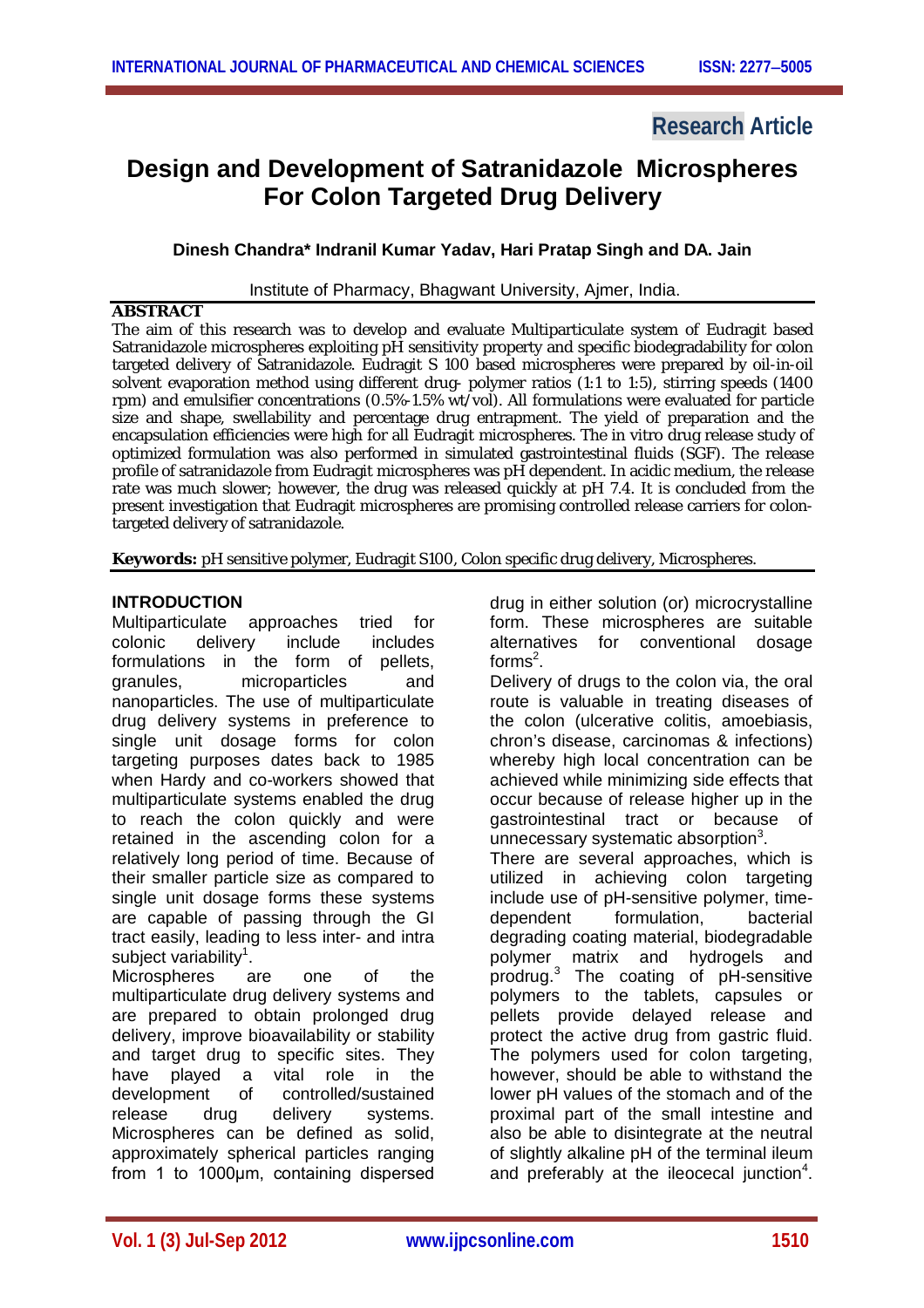# **Research Article**

# **Design and Development of Satranidazole Microspheres For Colon Targeted Drug Delivery**

## **Dinesh Chandra\* Indranil Kumar Yadav, Hari Pratap Singh and DA. Jain**

Institute of Pharmacy, Bhagwant University, Ajmer, India.

#### **ABSTRACT**

The aim of this research was to develop and evaluate Multiparticulate system of Eudragit based Satranidazole microspheres exploiting pH sensitivity property and specific biodegradability for colon targeted delivery of Satranidazole. Eudragit S 100 based microspheres were prepared by oil-in-oil solvent evaporation method using different drug- polymer ratios (1:1 to 1:5), stirring speeds (1400 rpm) and emulsifier concentrations (0.5%-1.5% wt/vol). All formulations were evaluated for particle size and shape, swellability and percentage drug entrapment. The yield of preparation and the encapsulation efficiencies were high for all Eudragit microspheres. The in vitro drug release study of optimized formulation was also performed in simulated gastrointestinal fluids (SGF). The release profile of satranidazole from Eudragit microspheres was pH dependent. In acidic medium, the release rate was much slower; however, the drug was released quickly at pH 7.4. It is concluded from the present investigation that Eudragit microspheres are promising controlled release carriers for colontargeted delivery of satranidazole.

**Keywords:** pH sensitive polymer, Eudragit S100, Colon specific drug delivery, Microspheres.

#### **INTRODUCTION**

Multiparticulate approaches tried for colonic delivery include includes formulations in the form of pellets, granules, microparticles and nanoparticles. The use of multiparticulate drug delivery systems in preference to single unit dosage forms for colon targeting purposes dates back to 1985 when Hardy and co-workers showed that multiparticulate systems enabled the drug to reach the colon quickly and were retained in the ascending colon for a relatively long period of time. Because of their smaller particle size as compared to single unit dosage forms these systems are capable of passing through the GI tract easily, leading to less inter- and intra subject variability<sup>1</sup>.

Microspheres are one of the multiparticulate drug delivery systems and are prepared to obtain prolonged drug delivery, improve bioavailability or stability and target drug to specific sites. They<br>have plaved a vital role in the have played a vital role in the development of controlled/sustained release drug delivery systems. Microspheres can be defined as solid, approximately spherical particles ranging from 1 to 1000μm, containing dispersed

drug in either solution (or) microcrystalline form. These microspheres are suitable alternatives for conventional dosage forms<sup>2</sup>.

Delivery of drugs to the colon via, the oral route is valuable in treating diseases of the colon (ulcerative colitis, amoebiasis, chron's disease, carcinomas & infections) whereby high local concentration can be achieved while minimizing side effects that occur because of release higher up in the gastrointestinal tract or because of unnecessary systematic absorption $3$ .

There are several approaches, which is utilized in achieving colon targeting include use of pH-sensitive polymer, timedependent formulation, bacterial degrading coating material, biodegradable polymer matrix and hydrogels and prodrug.<sup>3</sup> The coating of pH-sensitive polymers to the tablets, capsules or pellets provide delayed release and protect the active drug from gastric fluid. The polymers used for colon targeting, however, should be able to withstand the lower pH values of the stomach and of the proximal part of the small intestine and also be able to disintegrate at the neutral of slightly alkaline pH of the terminal ileum and preferably at the ileocecal junction<sup>4</sup>.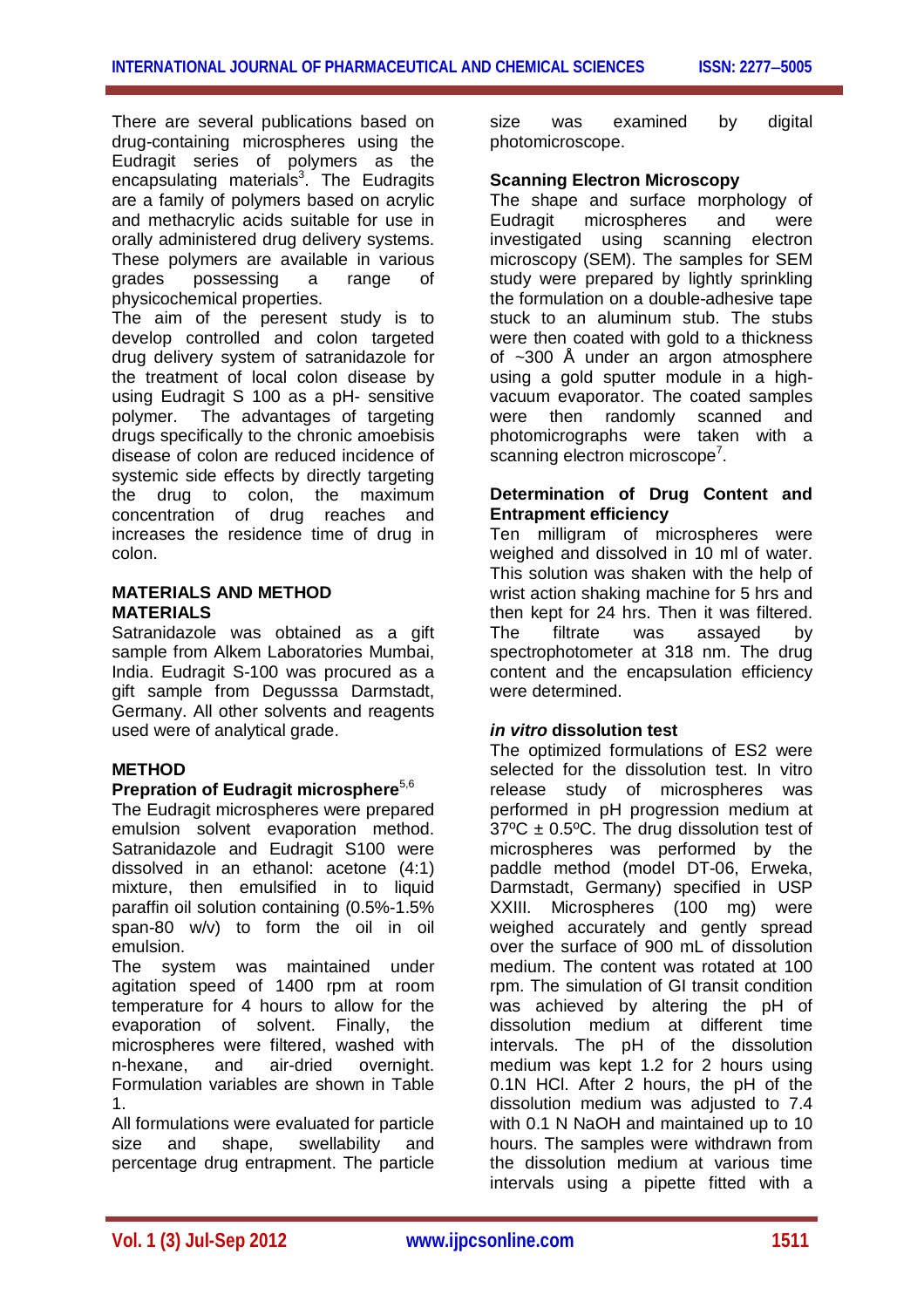There are several publications based on drug-containing microspheres using the Eudragit series of polymers as the encapsulating materials<sup>3</sup>. The Eudragits are a family of polymers based on acrylic and methacrylic acids suitable for use in orally administered drug delivery systems. These polymers are available in various grades possessing a range of physicochemical properties.

The aim of the peresent study is to develop controlled and colon targeted drug delivery system of satranidazole for the treatment of local colon disease by using Eudragit S 100 as a pH- sensitive polymer. The advantages of targeting drugs specifically to the chronic amoebisis disease of colon are reduced incidence of systemic side effects by directly targeting the drug to colon, the maximum concentration of drug reaches and increases the residence time of drug in colon.

#### **MATERIALS AND METHOD MATERIALS**

Satranidazole was obtained as a gift sample from Alkem Laboratories Mumbai, India. Eudragit S-100 was procured as a gift sample from Degusssa Darmstadt, Germany. All other solvents and reagents used were of analytical grade.

## **METHOD**

# **Prepration of Eudragit microsphere**5,6

The Eudragit microspheres were prepared emulsion solvent evaporation method. Satranidazole and Eudragit S100 were dissolved in an ethanol: acetone (4:1) mixture, then emulsified in to liquid paraffin oil solution containing (0.5%-1.5% span-80 w/v) to form the oil in oil emulsion.

The system was maintained under agitation speed of 1400 rpm at room temperature for 4 hours to allow for the evaporation of solvent. Finally, the microspheres were filtered, washed with n-hexane, and air-dried overnight. Formulation variables are shown in Table 1.

All formulations were evaluated for particle size and shape, swellability and percentage drug entrapment. The particle

size was examined by digital photomicroscope.

#### **Scanning Electron Microscopy**

The shape and surface morphology of Eudragit microspheres and were investigated using scanning electron microscopy (SEM). The samples for SEM study were prepared by lightly sprinkling the formulation on a double-adhesive tape stuck to an aluminum stub. The stubs were then coated with gold to a thickness of ~300 Å under an argon atmosphere using a gold sputter module in a highvacuum evaporator. The coated samples were then randomly scanned and photomicrographs were taken with a scanning electron microscope<sup>7</sup>.

#### **Determination of Drug Content and Entrapment efficiency**

Ten milligram of microspheres were weighed and dissolved in 10 ml of water. This solution was shaken with the help of wrist action shaking machine for 5 hrs and then kept for 24 hrs. Then it was filtered. The filtrate was assayed by spectrophotometer at 318 nm. The drug content and the encapsulation efficiency were determined.

#### *in vitro* **dissolution test**

The optimized formulations of ES2 were selected for the dissolution test. In vitro release study of microspheres was performed in pH progression medium at  $37^{\circ}$ C ± 0.5°C. The drug dissolution test of microspheres was performed by the paddle method (model DT-06, Erweka, Darmstadt, Germany) specified in USP XXIII. Microspheres (100 mg) were weighed accurately and gently spread over the surface of 900 mL of dissolution medium. The content was rotated at 100 rpm. The simulation of GI transit condition was achieved by altering the pH of dissolution medium at different time intervals. The pH of the dissolution medium was kept 1.2 for 2 hours using 0.1N HCl. After 2 hours, the pH of the dissolution medium was adjusted to 7.4 with 0.1 N NaOH and maintained up to 10 hours. The samples were withdrawn from the dissolution medium at various time intervals using a pipette fitted with a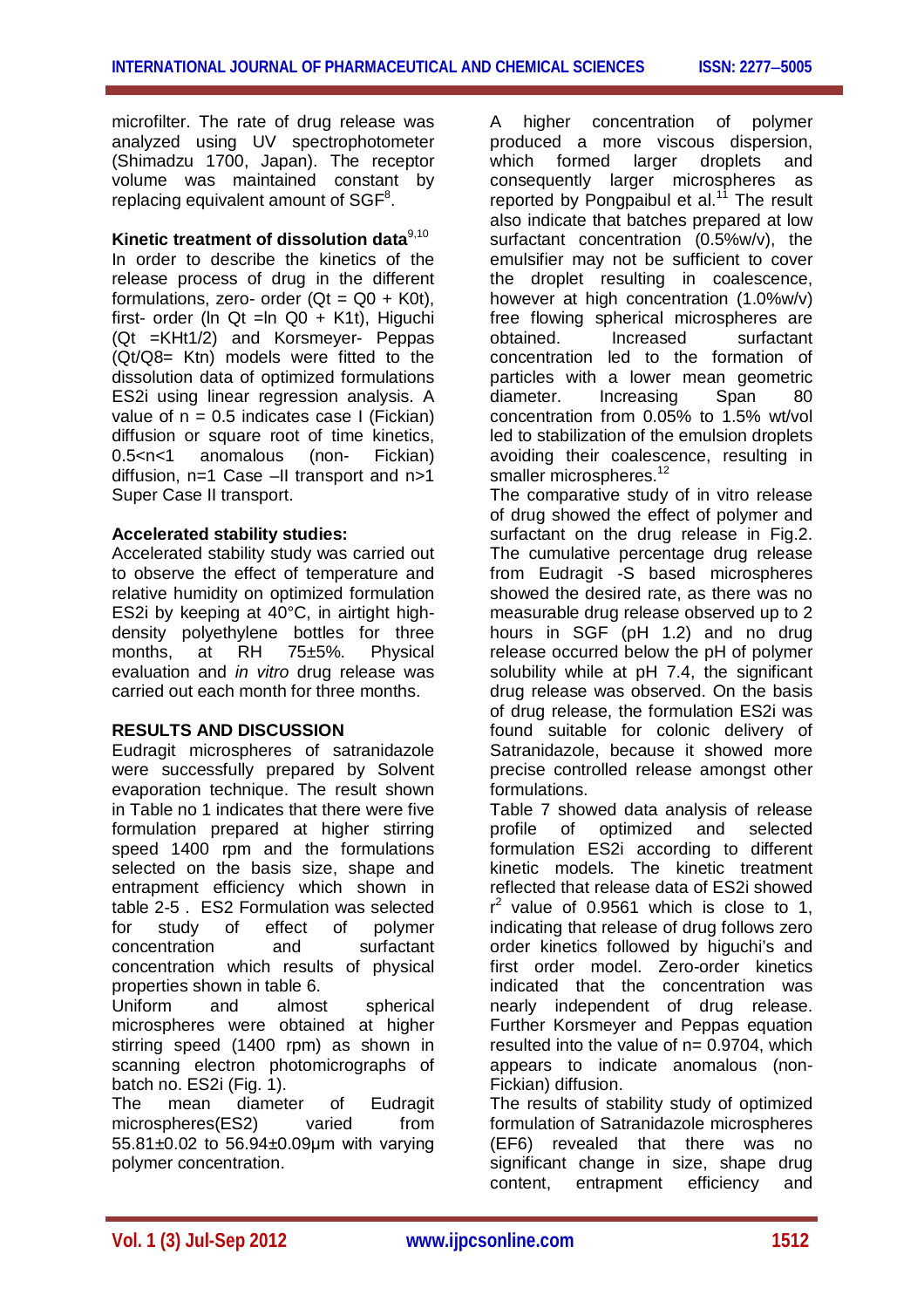microfilter. The rate of drug release was analyzed using UV spectrophotometer (Shimadzu 1700, Japan). The receptor volume was maintained constant by replacing equivalent amount of  $SGF^8$ .

#### Kinetic treatment of dissolution data<sup>9,10</sup>

In order to describe the kinetics of the release process of drug in the different formulations, zero- order  $(Qt = Q0 + KOt)$ , first- order (ln Qt =ln Q0 + K1t), Higuchi (Qt =KHt1/2) and Korsmeyer- Peppas (Qt/Q8= Ktn) models were fitted to the dissolution data of optimized formulations ES2i using linear regression analysis. A value of  $n = 0.5$  indicates case I (Fickian) diffusion or square root of time kinetics. 0.5<n<1 anomalous (non- Fickian) diffusion, n=1 Case –II transport and n>1 Super Case II transport.

#### **Accelerated stability studies:**

Accelerated stability study was carried out to observe the effect of temperature and relative humidity on optimized formulation ES2i by keeping at 40°C, in airtight highdensity polyethylene bottles for three months, at RH 75±5%. Physical evaluation and *in vitro* drug release was carried out each month for three months.

#### **RESULTS AND DISCUSSION**

Eudragit microspheres of satranidazole were successfully prepared by Solvent evaporation technique. The result shown in Table no 1 indicates that there were five formulation prepared at higher stirring speed 1400 rpm and the formulations selected on the basis size, shape and entrapment efficiency which shown in table 2-5 . ES2 Formulation was selected<br>for study of effect of polymer for study of effect of polymer concentration and surfactant concentration which results of physical properties shown in table 6.

Uniform and almost spherical microspheres were obtained at higher stirring speed (1400 rpm) as shown in scanning electron photomicrographs of batch no. ES2i (Fig. 1).

The mean diameter of Eudragit microspheres(ES2) varied from 55.81±0.02 to 56.94±0.09μm with varying polymer concentration.

A higher concentration of polymer produced a more viscous dispersion, which formed larger droplets and consequently larger microspheres as reported by Pongpaibul et al.<sup>11</sup> The result also indicate that batches prepared at low surfactant concentration (0.5%w/v), the emulsifier may not be sufficient to cover the droplet resulting in coalescence, however at high concentration (1.0%w/v) free flowing spherical microspheres are obtained. Increased surfactant concentration led to the formation of particles with a lower mean geometric diameter. Increasing Span 80 concentration from 0.05% to 1.5% wt/vol led to stabilization of the emulsion droplets avoiding their coalescence, resulting in smaller microspheres.<sup>12</sup>

The comparative study of in vitro release of drug showed the effect of polymer and surfactant on the drug release in Fig.2. The cumulative percentage drug release from Eudragit -S based microspheres showed the desired rate, as there was no measurable drug release observed up to 2 hours in SGF (pH 1.2) and no drug release occurred below the pH of polymer solubility while at pH 7.4, the significant drug release was observed. On the basis of drug release, the formulation ES2i was found suitable for colonic delivery of Satranidazole, because it showed more precise controlled release amongst other formulations.

Table 7 showed data analysis of release profile of optimized and selected formulation ES2i according to different kinetic models. The kinetic treatment reflected that release data of ES2i showed  $r^2$  value of 0.9561 which is close to 1, indicating that release of drug follows zero order kinetics followed by higuchi's and first order model. Zero-order kinetics indicated that the concentration was nearly independent of drug release. Further Korsmeyer and Peppas equation resulted into the value of  $n= 0.9704$ , which appears to indicate anomalous (non-Fickian) diffusion.

The results of stability study of optimized formulation of Satranidazole microspheres (EF6) revealed that there was no significant change in size, shape drug content, entrapment efficiency and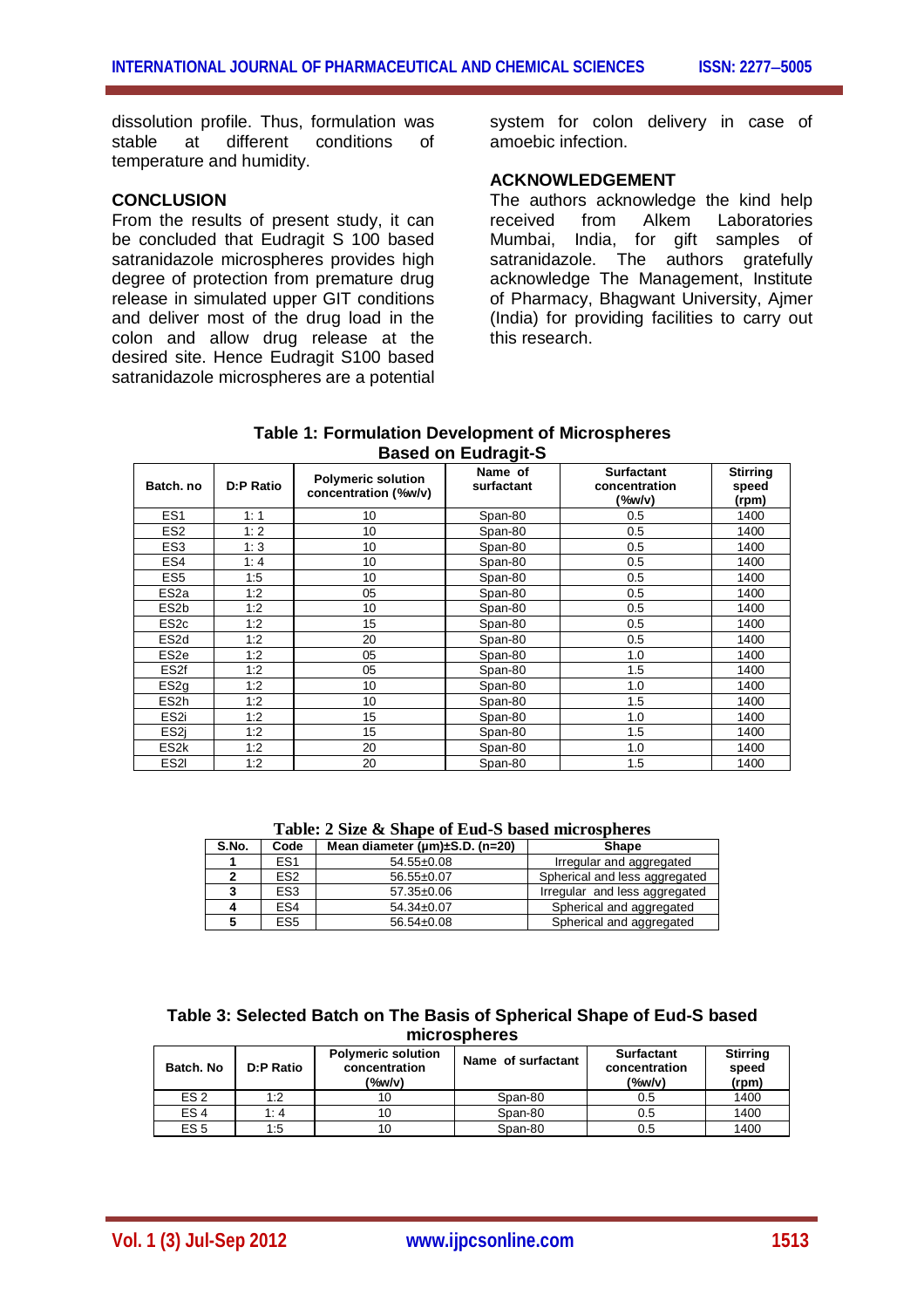dissolution profile. Thus, formulation was stable at different conditions of temperature and humidity.

#### **CONCLUSION**

From the results of present study, it can be concluded that Eudragit S 100 based satranidazole microspheres provides high degree of protection from premature drug release in simulated upper GIT conditions and deliver most of the drug load in the colon and allow drug release at the desired site. Hence Eudragit S100 based satranidazole microspheres are a potential

system for colon delivery in case of amoebic infection.

#### **ACKNOWLEDGEMENT**

The authors acknowledge the kind help received from Alkem Laboratories Mumbai, India, for gift samples of satranidazole. The authors gratefully acknowledge The Management, Institute of Pharmacy, Bhagwant University, Ajmer (India) for providing facilities to carry out this research.

| <b>Table 1: Formulation Development of Microspheres</b> |
|---------------------------------------------------------|
| <b>Based on Eudragit-S</b>                              |

| Batch, no         | <b>D:P Ratio</b> | <b>Polymeric solution</b><br>concentration (%w/v) | Name of<br>surfactant | <b>Surfactant</b><br>concentration<br>(%w/v) | <b>Stirring</b><br>speed<br>(rpm) |
|-------------------|------------------|---------------------------------------------------|-----------------------|----------------------------------------------|-----------------------------------|
| ES <sub>1</sub>   | 1:1              | 10                                                | Span-80               | 0.5                                          | 1400                              |
| ES <sub>2</sub>   | 1:2              | 10                                                | Span-80               | 0.5                                          | 1400                              |
| ES <sub>3</sub>   | 1:3              | 10                                                | Span-80               | 0.5                                          | 1400                              |
| ES4               | 1:4              | 10                                                | Span-80               | 0.5                                          | 1400                              |
| ES <sub>5</sub>   | 1:5              | 10                                                | Span-80               | 0.5                                          | 1400                              |
| ES2a              | 1:2              | 05                                                | Span-80               | 0.5                                          | 1400                              |
| ES <sub>2</sub> b | 1:2              | 10                                                | Span-80               | 0.5                                          | 1400                              |
| ES <sub>2c</sub>  | 1:2              | 15                                                | Span-80               | 0.5                                          | 1400                              |
| ES <sub>2d</sub>  | 1:2              | 20                                                | Span-80               | 0.5                                          | 1400                              |
| ES <sub>2e</sub>  | 1:2              | 05                                                | Span-80               | 1.0                                          | 1400                              |
| ES2f              | 1:2              | 05                                                | Span-80               | 1.5                                          | 1400                              |
| ES <sub>2g</sub>  | 1:2              | 10                                                | Span-80               | 1.0                                          | 1400                              |
| ES <sub>2</sub> h | 1:2              | 10                                                | Span-80               | 1.5                                          | 1400                              |
| ES2i              | 1:2              | 15                                                | Span-80               | 1.0                                          | 1400                              |
| ES2i              | 1:2              | 15                                                | Span-80               | 1.5                                          | 1400                              |
| ES <sub>2</sub> k | 1:2              | 20                                                | Span-80               | 1.0                                          | 1400                              |
| ES2I              | 1:2              | 20                                                | Span-80               | 1.5                                          | 1400                              |

**Table: 2 Size & Shape of Eud-S based microspheres**

| S.No. | Code            | Mean diameter $(\mu m) \pm S.D.$ (n=20) | <b>Shape</b>                  |
|-------|-----------------|-----------------------------------------|-------------------------------|
|       | ES <sub>1</sub> | $54.55 \pm 0.08$                        | Irregular and aggregated      |
|       | ES <sub>2</sub> | $56.55 \pm 0.07$                        | Spherical and less aggregated |
|       | ES <sub>3</sub> | $57.35 \pm 0.06$                        | Irregular and less aggregated |
|       | ES <sub>4</sub> | $54.34\pm0.07$                          | Spherical and aggregated      |
|       | ES <sub>5</sub> | $56.54\pm0.08$                          | Spherical and aggregated      |

| Table 3: Selected Batch on The Basis of Spherical Shape of Eud-S based |
|------------------------------------------------------------------------|
| microspheres                                                           |

| Batch. No       | D:P Ratio | <b>Polymeric solution</b><br>concentration<br>(%w/v) | Name of surfactant | Surfactant<br>concentration<br>(%w/v) | <b>Stirring</b><br>speed<br>(rpm) |
|-----------------|-----------|------------------------------------------------------|--------------------|---------------------------------------|-----------------------------------|
| ES <sub>2</sub> | 1:2       | 10                                                   | Span-80            | 0.5                                   | 1400                              |
| ES <sub>4</sub> | 1:4       | 10                                                   | Span-80            | 0.5                                   | 1400                              |
| ES <sub>5</sub> | 1:5       | 10                                                   | Span-80            | 0.5                                   | 1400                              |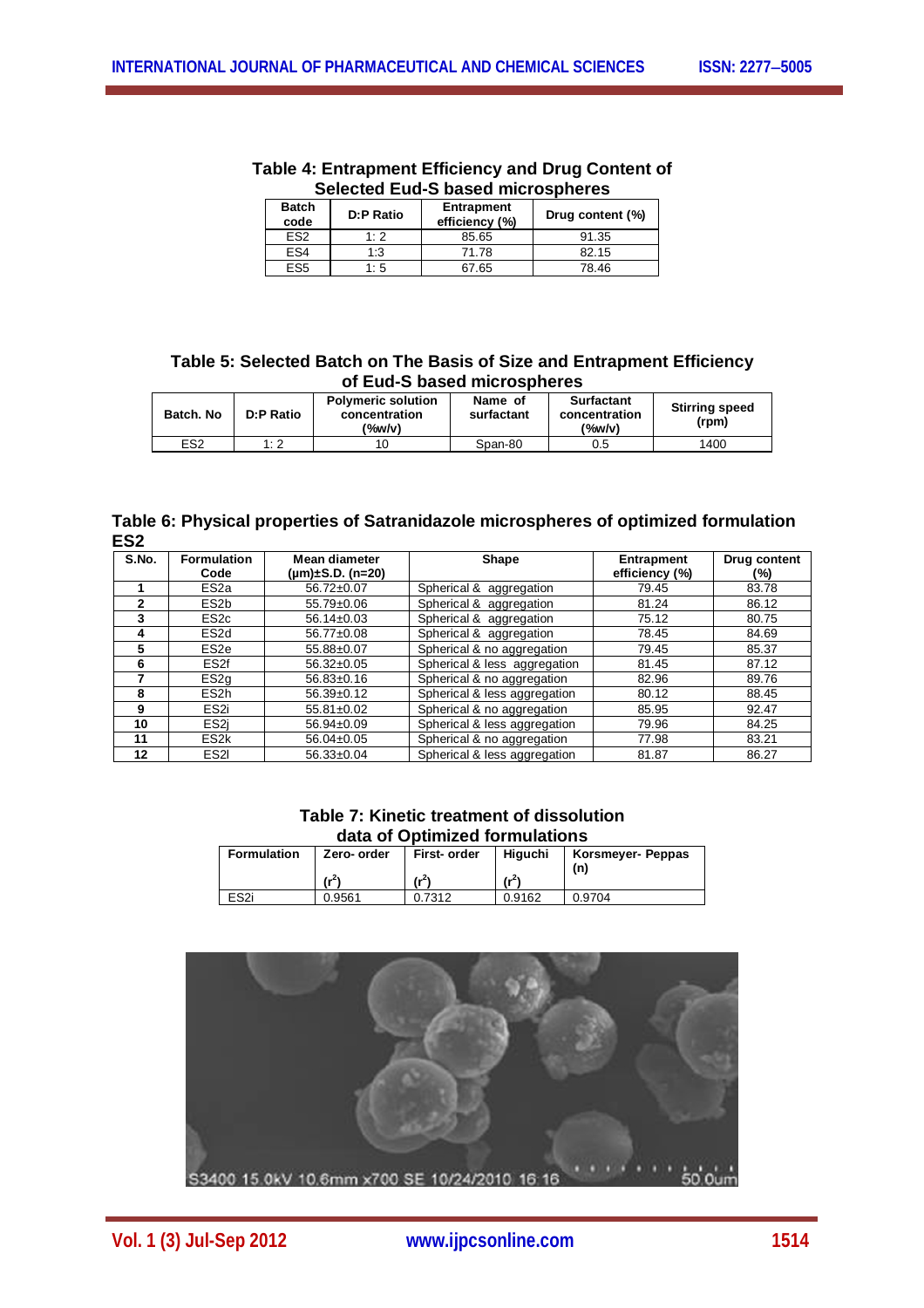| <b>Batch</b><br>code | <b>D:P Ratio</b> | <b>Entrapment</b><br>efficiency (%) | Drug content (%) |
|----------------------|------------------|-------------------------------------|------------------|
| ES <sub>2</sub>      | 1:2              | 85.65                               | 91.35            |
| ES <sub>4</sub>      | 1:3              | 71.78                               | 82.15            |
| ES <sub>5</sub>      | 1:5              | 67.65                               | 78.46            |

#### **Table 4: Entrapment Efficiency and Drug Content of Selected Eud-S based microspheres**

#### **Table 5: Selected Batch on The Basis of Size and Entrapment Efficiency of Eud-S based microspheres**

| Batch, No.      | <b>D:P Ratio</b> | <b>Polymeric solution</b><br>concentration<br>(%w/v) | Name of<br>surfactant | <b>Surfactant</b><br>concentration<br>(%w/v) | <b>Stirring speed</b><br>(rpm) |
|-----------------|------------------|------------------------------------------------------|-----------------------|----------------------------------------------|--------------------------------|
| ES <sub>2</sub> | 1.2              |                                                      | Span-80               | 0.5                                          | 1400                           |

#### **Table 6: Physical properties of Satranidazole microspheres of optimized formulation ES2**

| S.No.          | <b>Formulation</b><br>Code | Mean diameter<br>$(\mu m) \pm S.D.$ (n=20) | Shape                        | <b>Entrapment</b><br>efficiency (%) | Drug content<br>(%) |
|----------------|----------------------------|--------------------------------------------|------------------------------|-------------------------------------|---------------------|
|                | ES <sub>2</sub> a          | 56.72±0.07                                 | Spherical & aggregation      | 79.45                               | 83.78               |
| $\overline{2}$ | ES <sub>2</sub> b          | 55.79±0.06                                 | Spherical & aggregation      | 81.24                               | 86.12               |
| 3              | ES <sub>2</sub> c          | $56.14 \pm 0.03$                           | Spherical & aggregation      | 75.12                               | 80.75               |
| 4              | ES <sub>2d</sub>           | 56.77±0.08                                 | Spherical & aggregation      | 78.45                               | 84.69               |
| 5              | ES <sub>2e</sub>           | 55.88±0.07                                 | Spherical & no aggregation   | 79.45                               | 85.37               |
| 6              | ES <sub>2f</sub>           | $56.32 \pm 0.05$                           | Spherical & less aggregation | 81.45                               | 87.12               |
|                | ES <sub>2q</sub>           | $56.83 \pm 0.16$                           | Spherical & no aggregation   | 82.96                               | 89.76               |
| 8              | ES <sub>2</sub> h          | $56.39+0.12$                               | Spherical & less aggregation | 80.12                               | 88.45               |
| 9              | ES <sub>2i</sub>           | $55.81 \pm 0.02$                           | Spherical & no aggregation   | 85.95                               | 92.47               |
| 10             | ES <sub>2i</sub>           | $56.94 \pm 0.09$                           | Spherical & less aggregation | 79.96                               | 84.25               |
| 11             | ES <sub>2</sub> k          | 56.04±0.05                                 | Spherical & no aggregation   | 77.98                               | 83.21               |
| 12             | ES <sub>2</sub>            | $56.33 \pm 0.04$                           | Spherical & less aggregation | 81.87                               | 86.27               |

| data of Optimized formulations                                                    |        |        |        |        |  |  |
|-----------------------------------------------------------------------------------|--------|--------|--------|--------|--|--|
| <b>Formulation</b><br>Hiauchi<br>Korsmeyer- Peppas<br>First- order<br>Zero- order |        |        |        |        |  |  |
|                                                                                   | $r^2$  |        | $r^2$  | (n)    |  |  |
| ES <sub>2i</sub>                                                                  | 0.9561 | 0.7312 | 0.9162 | 0.9704 |  |  |

**Table 7: Kinetic treatment of dissolution** 

# S3400 15.0kV 10.6mm x700 SE 10/24/2010 16:1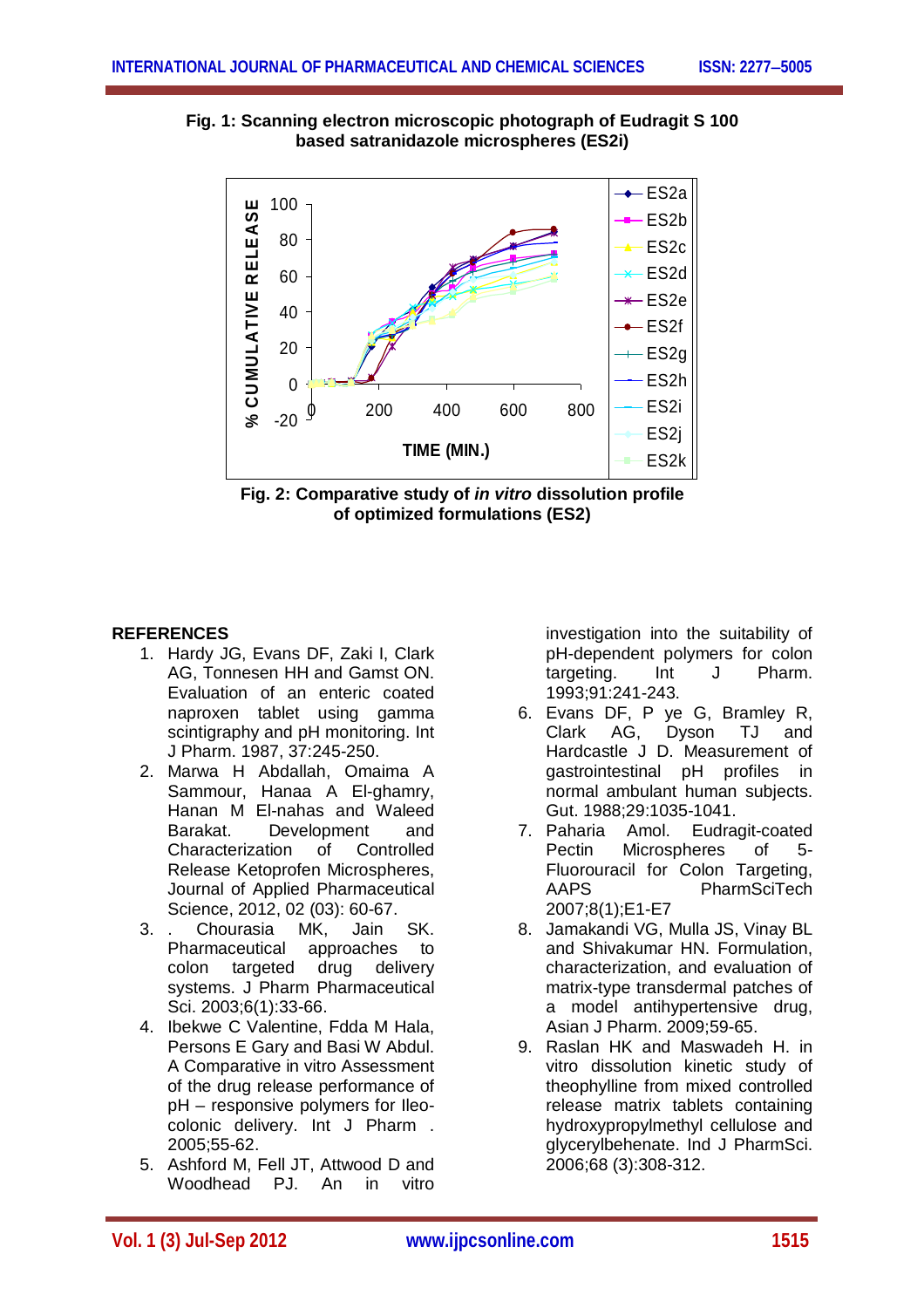



**Fig. 2: Comparative study of** *in vitro* **dissolution profile of optimized formulations (ES2)**

### **REFERENCES**

- 1. Hardy JG, Evans DF, Zaki I, Clark AG, Tonnesen HH and Gamst ON. Evaluation of an enteric coated naproxen tablet using gamma scintigraphy and pH monitoring. Int J Pharm. 1987, 37:245-250.
- 2. Marwa H Abdallah, Omaima A Sammour, Hanaa A El-ghamry, Hanan M El-nahas and Waleed Barakat. Development and Characterization of Controlled Release Ketoprofen Microspheres, Journal of Applied Pharmaceutical Science, 2012, 02 (03): 60-67.
- 3. . Chourasia MK, Jain SK. Pharmaceutical approaches to colon targeted drug delivery systems. J Pharm Pharmaceutical Sci. 2003;6(1):33-66.
- 4. Ibekwe C Valentine, Fdda M Hala, Persons E Gary and Basi W Abdul. A Comparative in vitro Assessment of the drug release performance of pH – responsive polymers for Ileocolonic delivery. Int J Pharm . 2005;55-62.
- 5. Ashford M, Fell JT, Attwood D and Woodhead PJ. An in vitro

investigation into the suitability of pH-dependent polymers for colon targeting. Int J Pharm. 1993;91:241-243.

- 6. Evans DF, P ye G, Bramley R, Clark AG, Dyson TJ and Hardcastle J D. Measurement of gastrointestinal pH profiles in normal ambulant human subjects. Gut. 1988;29:1035-1041.
- 7. Paharia Amol. Eudragit-coated Pectin Microspheres of 5- Fluorouracil for Colon Targeting, AAPS PharmSciTech 2007;8(1);E1-E7
- 8. Jamakandi VG, Mulla JS, Vinay BL and Shivakumar HN. Formulation, characterization, and evaluation of matrix-type transdermal patches of a model antihypertensive drug, Asian J Pharm. 2009;59-65.
- 9. Raslan HK and Maswadeh H. in vitro dissolution kinetic study of theophylline from mixed controlled release matrix tablets containing hydroxypropylmethyl cellulose and glycerylbehenate. Ind J PharmSci. 2006;68 (3):308-312.